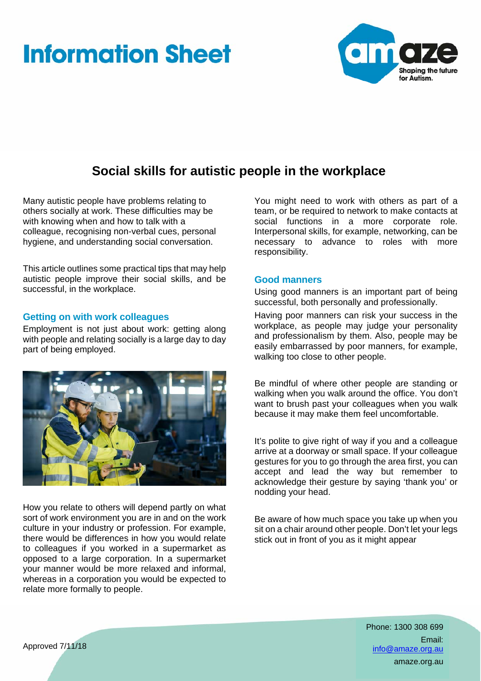# **Information Sheet**



# **Social skills for autistic people in the workplace**

Many autistic people have problems relating to others socially at work. These difficulties may be with knowing when and how to talk with a colleague, recognising non-verbal cues, personal hygiene, and understanding social conversation.

This article outlines some practical tips that may help autistic people improve their social skills, and be successful, in the workplace.

# **Getting on with work colleagues**

Employment is not just about work: getting along with people and relating socially is a large day to day part of being employed.



How you relate to others will depend partly on what sort of work environment you are in and on the work culture in your industry or profession. For example, there would be differences in how you would relate to colleagues if you worked in a supermarket as opposed to a large corporation. In a supermarket your manner would be more relaxed and informal, whereas in a corporation you would be expected to relate more formally to people.

You might need to work with others as part of a team, or be required to network to make contacts at social functions in a more corporate role. Interpersonal skills, for example, networking, can be necessary to advance to roles with more responsibility.

#### **Good manners**

Using good manners is an important part of being successful, both personally and professionally.

Having poor manners can risk your success in the workplace, as people may judge your personality and professionalism by them. Also, people may be easily embarrassed by poor manners, for example, walking too close to other people.

Be mindful of where other people are standing or walking when you walk around the office. You don't want to brush past your colleagues when you walk because it may make them feel uncomfortable.

It's polite to give right of way if you and a colleague arrive at a doorway or small space. If your colleague gestures for you to go through the area first, you can accept and lead the way but remember to acknowledge their gesture by saying 'thank you' or nodding your head.

Be aware of how much space you take up when you sit on a chair around other people. Don't let your legs stick out in front of you as it might appear

> Phone: 1300 308 699 Email: info@amaze.org.au amaze.org.au

Approved 7/11/18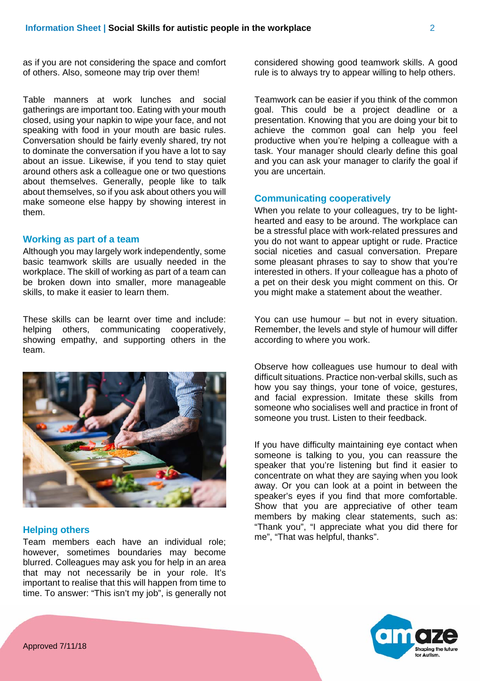as if you are not considering the space and comfort of others. Also, someone may trip over them!

Table manners at work lunches and social gatherings are important too. Eating with your mouth closed, using your napkin to wipe your face, and not speaking with food in your mouth are basic rules. Conversation should be fairly evenly shared, try not to dominate the conversation if you have a lot to say about an issue. Likewise, if you tend to stay quiet around others ask a colleague one or two questions about themselves. Generally, people like to talk about themselves, so if you ask about others you will make someone else happy by showing interest in them.

#### **Working as part of a team**

Although you may largely work independently, some basic teamwork skills are usually needed in the workplace. The skill of working as part of a team can be broken down into smaller, more manageable skills, to make it easier to learn them.

These skills can be learnt over time and include: helping others, communicating cooperatively, showing empathy, and supporting others in the team.



# **Helping others**

Team members each have an individual role; however, sometimes boundaries may become blurred. Colleagues may ask you for help in an area that may not necessarily be in your role. It's important to realise that this will happen from time to time. To answer: "This isn't my job", is generally not considered showing good teamwork skills. A good rule is to always try to appear willing to help others.

Teamwork can be easier if you think of the common goal. This could be a project deadline or a presentation. Knowing that you are doing your bit to achieve the common goal can help you feel productive when you're helping a colleague with a task. Your manager should clearly define this goal and you can ask your manager to clarify the goal if you are uncertain.

## **Communicating cooperatively**

When you relate to your colleagues, try to be lighthearted and easy to be around. The workplace can be a stressful place with work-related pressures and you do not want to appear uptight or rude. Practice social niceties and casual conversation. Prepare some pleasant phrases to say to show that you're interested in others. If your colleague has a photo of a pet on their desk you might comment on this. Or you might make a statement about the weather.

You can use humour – but not in every situation. Remember, the levels and style of humour will differ according to where you work.

Observe how colleagues use humour to deal with difficult situations. Practice non-verbal skills, such as how you say things, your tone of voice, gestures, and facial expression. Imitate these skills from someone who socialises well and practice in front of someone you trust. Listen to their feedback.

If you have difficulty maintaining eye contact when someone is talking to you, you can reassure the speaker that you're listening but find it easier to concentrate on what they are saying when you look away. Or you can look at a point in between the speaker's eyes if you find that more comfortable. Show that you are appreciative of other team members by making clear statements, such as: "Thank you", "I appreciate what you did there for me", "That was helpful, thanks".

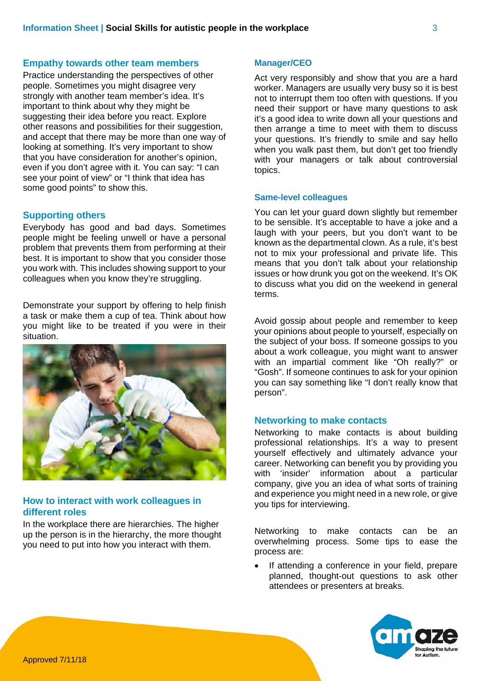### **Empathy towards other team members**

Practice understanding the perspectives of other people. Sometimes you might disagree very strongly with another team member's idea. It's important to think about why they might be suggesting their idea before you react. Explore other reasons and possibilities for their suggestion, and accept that there may be more than one way of looking at something. It's very important to show that you have consideration for another's opinion, even if you don't agree with it. You can say: "I can see your point of view" or "I think that idea has some good points" to show this.

#### **Supporting others**

Everybody has good and bad days. Sometimes people might be feeling unwell or have a personal problem that prevents them from performing at their best. It is important to show that you consider those you work with. This includes showing support to your colleagues when you know they're struggling.

Demonstrate your support by offering to help finish a task or make them a cup of tea. Think about how you might like to be treated if you were in their situation.



# **How to interact with work colleagues in different roles**

In the workplace there are hierarchies. The higher up the person is in the hierarchy, the more thought you need to put into how you interact with them.

#### **Manager/CEO**

Act very responsibly and show that you are a hard worker. Managers are usually very busy so it is best not to interrupt them too often with questions. If you need their support or have many questions to ask it's a good idea to write down all your questions and then arrange a time to meet with them to discuss your questions. It's friendly to smile and say hello when you walk past them, but don't get too friendly with your managers or talk about controversial topics.

#### **Same-level colleagues**

You can let your guard down slightly but remember to be sensible. It's acceptable to have a joke and a laugh with your peers, but you don't want to be known as the departmental clown. As a rule, it's best not to mix your professional and private life. This means that you don't talk about your relationship issues or how drunk you got on the weekend. It's OK to discuss what you did on the weekend in general terms.

Avoid gossip about people and remember to keep your opinions about people to yourself, especially on the subject of your boss. If someone gossips to you about a work colleague, you might want to answer with an impartial comment like "Oh really?" or "Gosh". If someone continues to ask for your opinion you can say something like "I don't really know that person".

## **Networking to make contacts**

Networking to make contacts is about building professional relationships. It's a way to present yourself effectively and ultimately advance your career. Networking can benefit you by providing you with 'insider' information about a particular company, give you an idea of what sorts of training and experience you might need in a new role, or give you tips for interviewing.

Networking to make contacts can be an overwhelming process. Some tips to ease the process are:

 If attending a conference in your field, prepare planned, thought-out questions to ask other attendees or presenters at breaks.